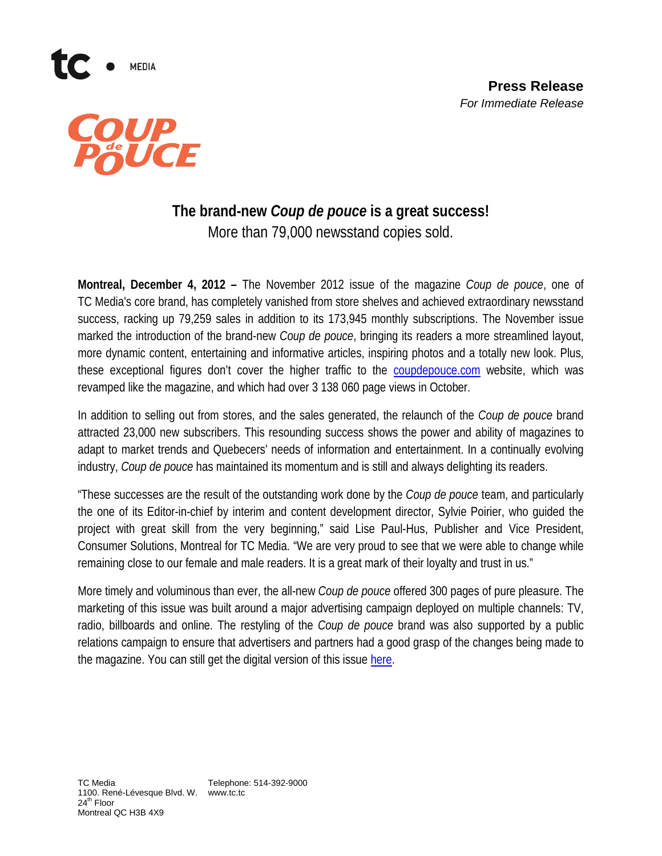

**MEDIA** 

## **The brand-new** *Coup de pouce* **is a great success!** More than 79,000 newsstand copies sold.

**Montreal, December 4, 2012 –** The November 2012 issue of the magazine *Coup de pouce*, one of TC Media's core brand, has completely vanished from store shelves and achieved extraordinary newsstand success, racking up 79,259 sales in addition to its 173,945 monthly subscriptions. The November issue marked the introduction of the brand-new *Coup de pouce*, bringing its readers a more streamlined layout, more dynamic content, entertaining and informative articles, inspiring photos and a totally new look. Plus, these exceptional figures don't cover the higher traffic to the [coupdepouce.com](http://www.coupdepouce.com/) website, which was revamped like the magazine, and which had over 3 138 060 page views in October.

In addition to selling out from stores, and the sales generated, the relaunch of the *Coup de pouce* brand attracted 23,000 new subscribers. This resounding success shows the power and ability of magazines to adapt to market trends and Quebecers' needs of information and entertainment. In a continually evolving industry, *Coup de pouce* has maintained its momentum and is still and always delighting its readers.

"These successes are the result of the outstanding work done by the *Coup de pouce* team, and particularly the one of its Editor-in-chief by interim and content development director, Sylvie Poirier, who guided the project with great skill from the very beginning," said Lise Paul-Hus, Publisher and Vice President, Consumer Solutions, Montreal for TC Media. "We are very proud to see that we were able to change while remaining close to our female and male readers. It is a great mark of their loyalty and trust in us."

More timely and voluminous than ever, the all-new *Coup de pouce* offered 300 pages of pure pleasure. The marketing of this issue was built around a major advertising campaign deployed on multiple channels: TV, radio, billboards and online. The restyling of the *Coup de pouce* brand was also supported by a public relations campaign to ensure that advertisers and partners had a good grasp of the changes being made to the magazine. You can still get the digital version of this issue [here.](http://ca.zinio.com/browse/issues/index.jsp?skuId=416239340&prnt=cat1960032&categoryId=cat1960074)